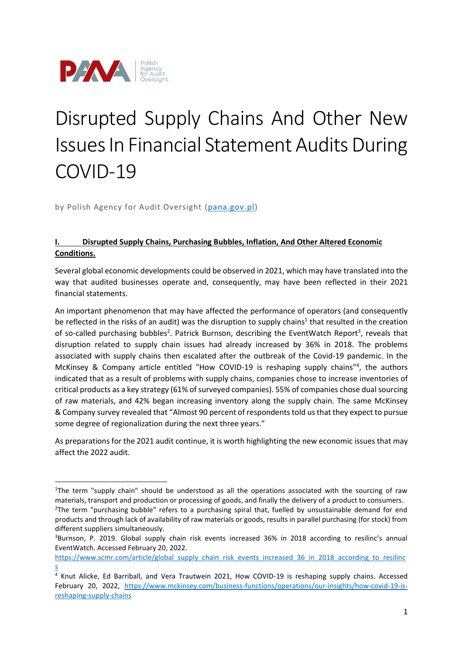

# Disrupted Supply Chains And Other New Issues In Financial Statement Audits During COVID-19

by Polish Agency for Audit Oversight [\(pana.gov.pl\)](https://pana.gov.pl/)

# **I. Disrupted Supply Chains, Purchasing Bubbles, Inflation, And Other Altered Economic Conditions.**

Several global economic developments could be observed in 2021, which may have translated into the way that audited businesses operate and, consequently, may have been reflected in their 2021 financial statements.

An important phenomenon that may have affected the performance of operators (and consequently be reflected in the risks of an audit) was the disruption to supply chains<sup>1</sup> that resulted in the creation of so-called purchasing bubbles<sup>2</sup>. Patrick Burnson, describing the EventWatch Report<sup>3</sup>, reveals that disruption related to supply chain issues had already increased by 36% in 2018. The problems associated with supply chains then escalated after the outbreak of the Covid-19 pandemic. In the McKinsey & Company article entitled "How COVID-19 is reshaping supply chains"<sup>4</sup>, the authors indicated that as a result of problems with supply chains, companies chose to increase inventories of critical products as a key strategy (61% of surveyed companies). 55% of companies chose dual sourcing of raw materials, and 42% began increasing inventory along the supply chain. The same McKinsey & Company survey revealed that "Almost 90 percent of respondents told us that they expect to pursue some degree of regionalization during the next three years."

As preparations for the 2021 audit continue, it is worth highlighting the new economic issues that may affect the 2022 audit.

<sup>&</sup>lt;sup>1</sup>The term "supply chain" should be understood as all the operations associated with the sourcing of raw materials, transport and production or processing of goods, and finally the delivery of a product to consumers. <sup>2</sup>The term "purchasing bubble" refers to a purchasing spiral that, fuelled by unsustainable demand for end products and through lack of availability of raw materials or goods, results in parallel purchasing (for stock) from

different suppliers simultaneously. <sup>3</sup>Burnson, P. 2019. Global supply chain risk events increased 36% in 2018 according to resilinc's annual EventWatch. Accessed February 20, 2022.

[https://www.scmr.com/article/global\\_supply\\_chain\\_risk\\_events\\_increased\\_36\\_in\\_2018\\_according\\_to\\_resilinc](https://www.scmr.com/article/global_supply_chain_risk_events_increased_36_in_2018_according_to_resilincs) [s](https://www.scmr.com/article/global_supply_chain_risk_events_increased_36_in_2018_according_to_resilincs)

<sup>&</sup>lt;sup>4</sup> Knut Alicke, Ed Barriball, and Vera Trautwein 2021, How COVID-19 is reshaping supply chains. Accessed February 20, 2022, [https://www.mckinsey.com/business-functions/operations/our-insights/how-covid-19-is](https://www.mckinsey.com/business-functions/operations/our-insights/how-covid-19-is-reshaping-supply-chains)[reshaping-supply-chains](https://www.mckinsey.com/business-functions/operations/our-insights/how-covid-19-is-reshaping-supply-chains)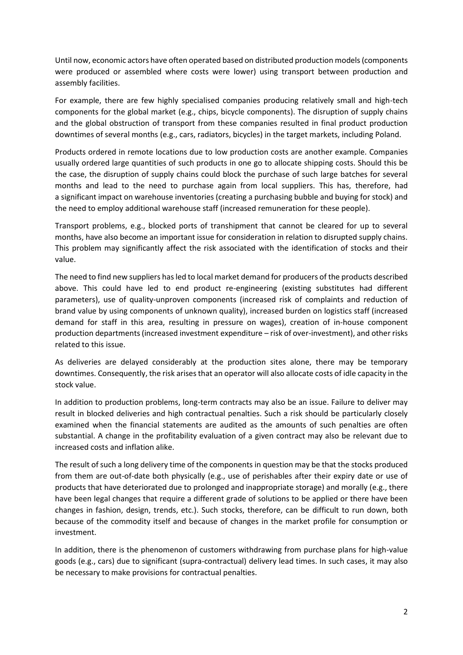Until now, economic actors have often operated based on distributed production models (components were produced or assembled where costs were lower) using transport between production and assembly facilities.

For example, there are few highly specialised companies producing relatively small and high-tech components for the global market (e.g., chips, bicycle components). The disruption of supply chains and the global obstruction of transport from these companies resulted in final product production downtimes of several months (e.g., cars, radiators, bicycles) in the target markets, including Poland.

Products ordered in remote locations due to low production costs are another example. Companies usually ordered large quantities of such products in one go to allocate shipping costs. Should this be the case, the disruption of supply chains could block the purchase of such large batches for several months and lead to the need to purchase again from local suppliers. This has, therefore, had a significant impact on warehouse inventories (creating a purchasing bubble and buying for stock) and the need to employ additional warehouse staff (increased remuneration for these people).

Transport problems, e.g., blocked ports of transhipment that cannot be cleared for up to several months, have also become an important issue for consideration in relation to disrupted supply chains. This problem may significantly affect the risk associated with the identification of stocks and their value.

The need to find new suppliers has led to local market demand for producers of the products described above. This could have led to end product re-engineering (existing substitutes had different parameters), use of quality-unproven components (increased risk of complaints and reduction of brand value by using components of unknown quality), increased burden on logistics staff (increased demand for staff in this area, resulting in pressure on wages), creation of in-house component production departments (increased investment expenditure – risk of over-investment), and other risks related to this issue.

As deliveries are delayed considerably at the production sites alone, there may be temporary downtimes. Consequently, the risk arises that an operator will also allocate costs of idle capacity in the stock value.

In addition to production problems, long-term contracts may also be an issue. Failure to deliver may result in blocked deliveries and high contractual penalties. Such a risk should be particularly closely examined when the financial statements are audited as the amounts of such penalties are often substantial. A change in the profitability evaluation of a given contract may also be relevant due to increased costs and inflation alike.

The result of such a long delivery time of the components in question may be that the stocks produced from them are out-of-date both physically (e.g., use of perishables after their expiry date or use of products that have deteriorated due to prolonged and inappropriate storage) and morally (e.g., there have been legal changes that require a different grade of solutions to be applied or there have been changes in fashion, design, trends, etc.). Such stocks, therefore, can be difficult to run down, both because of the commodity itself and because of changes in the market profile for consumption or investment.

In addition, there is the phenomenon of customers withdrawing from purchase plans for high-value goods (e.g., cars) due to significant (supra-contractual) delivery lead times. In such cases, it may also be necessary to make provisions for contractual penalties.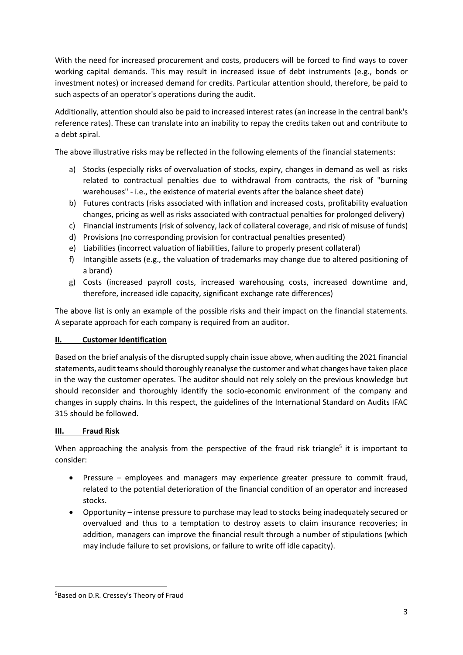With the need for increased procurement and costs, producers will be forced to find ways to cover working capital demands. This may result in increased issue of debt instruments (e.g., bonds or investment notes) or increased demand for credits. Particular attention should, therefore, be paid to such aspects of an operator's operations during the audit.

Additionally, attention should also be paid to increased interest rates (an increase in the central bank's reference rates). These can translate into an inability to repay the credits taken out and contribute to a debt spiral.

The above illustrative risks may be reflected in the following elements of the financial statements:

- a) Stocks (especially risks of overvaluation of stocks, expiry, changes in demand as well as risks related to contractual penalties due to withdrawal from contracts, the risk of "burning warehouses" - i.e., the existence of material events after the balance sheet date)
- b) Futures contracts (risks associated with inflation and increased costs, profitability evaluation changes, pricing as well as risks associated with contractual penalties for prolonged delivery)
- c) Financial instruments (risk of solvency, lack of collateral coverage, and risk of misuse of funds)
- d) Provisions (no corresponding provision for contractual penalties presented)
- e) Liabilities (incorrect valuation of liabilities, failure to properly present collateral)
- f) Intangible assets (e.g., the valuation of trademarks may change due to altered positioning of a brand)
- g) Costs (increased payroll costs, increased warehousing costs, increased downtime and, therefore, increased idle capacity, significant exchange rate differences)

The above list is only an example of the possible risks and their impact on the financial statements. A separate approach for each company is required from an auditor.

#### **II. Customer Identification**

Based on the brief analysis of the disrupted supply chain issue above, when auditing the 2021 financial statements, audit teams should thoroughly reanalyse the customer and what changes have taken place in the way the customer operates. The auditor should not rely solely on the previous knowledge but should reconsider and thoroughly identify the socio-economic environment of the company and changes in supply chains. In this respect, the guidelines of the International Standard on Audits IFAC 315 should be followed.

#### **III. Fraud Risk**

When approaching the analysis from the perspective of the fraud risk triangle<sup>5</sup> it is important to consider:

- Pressure employees and managers may experience greater pressure to commit fraud, related to the potential deterioration of the financial condition of an operator and increased stocks.
- Opportunity intense pressure to purchase may lead to stocks being inadequately secured or overvalued and thus to a temptation to destroy assets to claim insurance recoveries; in addition, managers can improve the financial result through a number of stipulations (which may include failure to set provisions, or failure to write off idle capacity).

<sup>&</sup>lt;sup>5</sup>Based on D.R. Cressey's Theory of Fraud